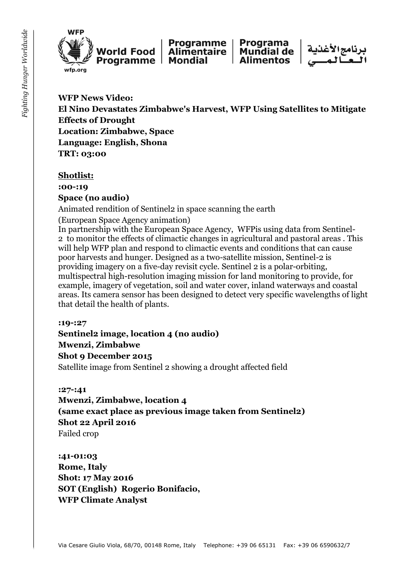



Programme | **Alimentaire** 

Programa **Mundial de Alimentos** 



**WFP News Video: El Nino Devastates Zimbabwe's Harvest, WFP Using Satellites to Mitigate Effects of Drought Location: Zimbabwe, Space Language: English, Shona TRT: 03:00**

**Shotlist:**

**:00-:19 Space (no audio)**

Animated rendition of Sentinel2 in space scanning the earth

(European Space Agency animation)

In partnership with the European Space Agency, WFPis using data from Sentinel-2 to monitor the effects of climactic changes in agricultural and pastoral areas . This will help WFP plan and respond to climactic events and conditions that can cause poor harvests and hunger. Designed as a two-satellite mission, Sentinel-2 is providing imagery on a five-day revisit cycle. Sentinel 2 is a polar-orbiting, multispectral high-resolution imaging mission for land monitoring to provide, for example, imagery of vegetation, soil and water cover, inland waterways and coastal areas. Its camera sensor has been designed to detect very specific wavelengths of light that detail the health of plants.

**:19-:27**

**Sentinel2 image, location 4 (no audio)**

**Mwenzi, Zimbabwe**

# **Shot 9 December 2015**

Satellite image from Sentinel 2 showing a drought affected field

#### **:27-:41**

**Mwenzi, Zimbabwe, location 4 (same exact place as previous image taken from Sentinel2) Shot 22 April 2016** Failed crop

**:41-01:03 Rome, Italy Shot: 17 May 2016 SOT (English) Rogerio Bonifacio, WFP Climate Analyst**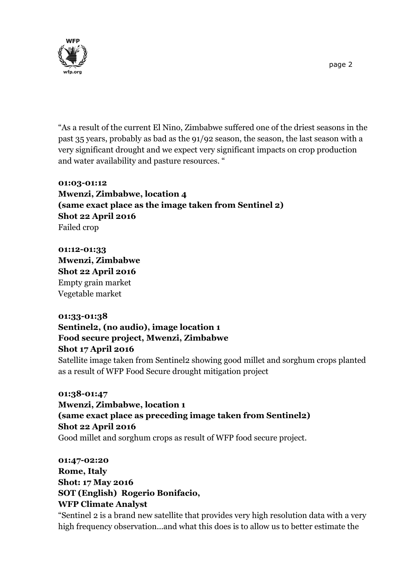

"As a result of the current El Nino, Zimbabwe suffered one of the driest seasons in the past 35 years, probably as bad as the 91/92 season, the season, the last season with a very significant drought and we expect very significant impacts on crop production and water availability and pasture resources. "

**01:03-01:12 Mwenzi, Zimbabwe, location 4 (same exact place as the image taken from Sentinel 2) Shot 22 April 2016** Failed crop

**01:12-01:33 Mwenzi, Zimbabwe Shot 22 April 2016** Empty grain market Vegetable market

## **01:33-01:38 Sentinel2, (no audio), image location 1 Food secure project, Mwenzi, Zimbabwe Shot 17 April 2016**

Satellite image taken from Sentinel2 showing good millet and sorghum crops planted as a result of WFP Food Secure drought mitigation project

**01:38-01:47 Mwenzi, Zimbabwe, location 1 (same exact place as preceding image taken from Sentinel2) Shot 22 April 2016** Good millet and sorghum crops as result of WFP food secure project.

**01:47-02:20 Rome, Italy Shot: 17 May 2016 SOT (English) Rogerio Bonifacio, WFP Climate Analyst**

"Sentinel 2 is a brand new satellite that provides very high resolution data with a very high frequency observation...and what this does is to allow us to better estimate the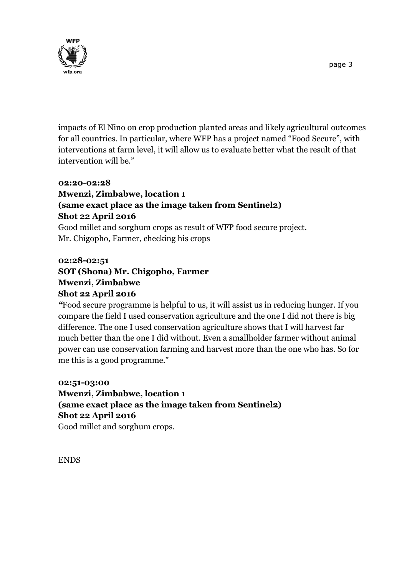

impacts of El Nino on crop production planted areas and likely agricultural outcomes for all countries. In particular, where WFP has a project named "Food Secure", with interventions at farm level, it will allow us to evaluate better what the result of that intervention will be."

#### **02:20-02:28**

## **Mwenzi, Zimbabwe, location 1 (same exact place as the image taken from Sentinel2) Shot 22 April 2016**

Good millet and sorghum crops as result of WFP food secure project. Mr. Chigopho, Farmer, checking his crops

#### **02:28-02:51**

# **SOT (Shona) Mr. Chigopho, Farmer Mwenzi, Zimbabwe Shot 22 April 2016**

*"*Food secure programme is helpful to us, it will assist us in reducing hunger. If you compare the field I used conservation agriculture and the one I did not there is big difference. The one I used conservation agriculture shows that I will harvest far much better than the one I did without. Even a smallholder farmer without animal power can use conservation farming and harvest more than the one who has. So for me this is a good programme."

**02:51-03:00 Mwenzi, Zimbabwe, location 1 (same exact place as the image taken from Sentinel2) Shot 22 April 2016** Good millet and sorghum crops.

ENDS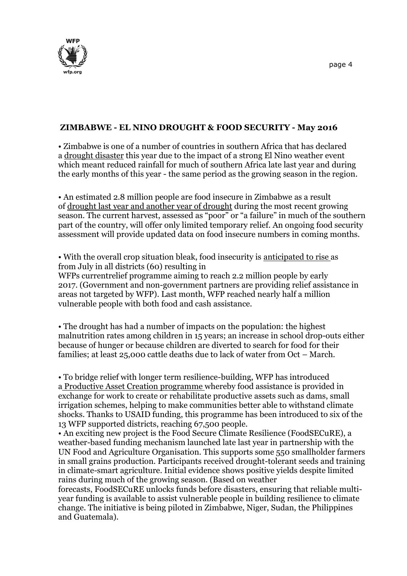

### **ZIMBABWE - EL NINO DROUGHT & FOOD SECURITY - May 2016**

• Zimbabwe is one of a number of countries in southern Africa that has declared a drought disaster this year due to the impact of a strong El Nino weather event which meant reduced rainfall for much of southern Africa late last year and during the early months of this year - the same period as the growing season in the region.

• An estimated 2.8 million people are food insecure in Zimbabwe as a result of drought last year and another year of drought during the most recent growing season. The current harvest, assessed as "poor" or "a failure" in much of the southern part of the country, will offer only limited temporary relief. An ongoing food security assessment will provide updated data on food insecure numbers in coming months.

• With the overall crop situation bleak, food insecurity is anticipated to rise as from July in all districts (60) resulting in

WFPs currentrelief programme aiming to reach 2.2 million people by early 2017. (Government and non-government partners are providing relief assistance in areas not targeted by WFP). Last month, WFP reached nearly half a million vulnerable people with both food and cash assistance.

• The drought has had a number of impacts on the population: the highest malnutrition rates among children in 15 years; an increase in school drop-outs either because of hunger or because children are diverted to search for food for their families; at least 25,000 cattle deaths due to lack of water from Oct – March.

• To bridge relief with longer term resilience-building, WFP has introduced a Productive Asset Creation programme whereby food assistance is provided in exchange for work to create or rehabilitate productive assets such as dams, small irrigation schemes, helping to make communities better able to withstand climate shocks. Thanks to USAID funding, this programme has been introduced to six of the 13 WFP supported districts, reaching 67,500 people.

• An exciting new project is the Food Secure Climate Resilience (FoodSECuRE), a weather-based funding mechanism launched late last year in partnership with the UN Food and Agriculture Organisation. This supports some 550 smallholder farmers in small grains production. Participants received drought-tolerant seeds and training in climate-smart agriculture. Initial evidence shows positive yields despite limited rains during much of the growing season. (Based on weather

forecasts, FoodSECuRE unlocks funds before disasters, ensuring that reliable multiyear funding is available to assist vulnerable people in building resilience to climate change. The initiative is being piloted in Zimbabwe, Niger, Sudan, the Philippines and Guatemala).